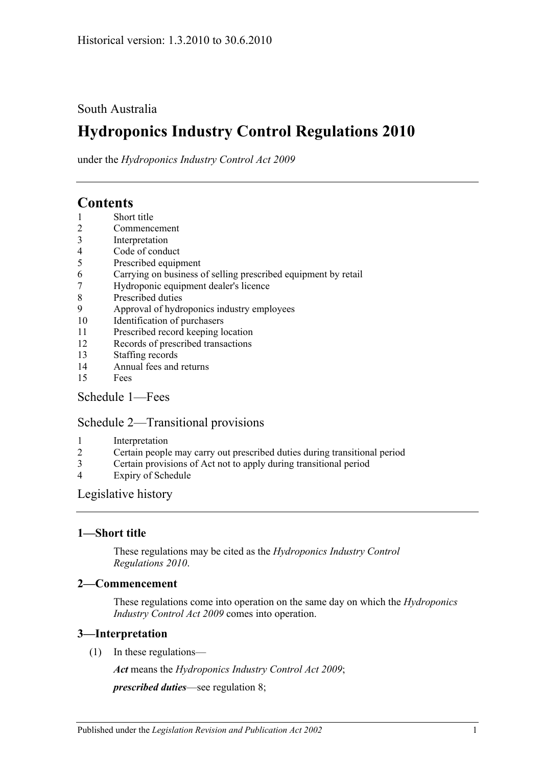#### South Australia

# **Hydroponics Industry Control Regulations 2010**

under the *Hydroponics Industry Control Act 2009*

## **Contents**

- 1 [Short title](#page-0-0)
- 2 [Commencement](#page-0-1)
- 3 [Interpretation](#page-0-2)
- 4 [Code of conduct](#page-1-0)
- 5 [Prescribed equipment](#page-1-1)
- 6 [Carrying on business of selling prescribed equipment by retail](#page-1-2)
- 7 [Hydroponic equipment dealer's licence](#page-1-3)
- 8 [Prescribed duties](#page-2-0)
- 9 [Approval of hydroponics industry employees](#page-2-1)
- 10 [Identification of purchasers](#page-3-0)
- 11 [Prescribed record keeping location](#page-4-0)
- 12 [Records of prescribed transactions](#page-4-1)
- 13 [Staffing records](#page-5-0)
- 14 [Annual fees and returns](#page-5-1)
- 15 [Fees](#page-6-0)

#### [Schedule 1—Fees](#page-6-1)

#### [Schedule 2—Transitional provisions](#page-6-2)

- 1 [Interpretation](#page-6-3)
- 2 [Certain people may carry out prescribed duties during transitional period](#page-6-4)
- 3 [Certain provisions of Act not to apply during transitional period](#page-7-0)
- 4 [Expiry of Schedule](#page-7-1)

#### [Legislative history](#page-8-0)

#### <span id="page-0-0"></span>**1—Short title**

These regulations may be cited as the *Hydroponics Industry Control Regulations 2010*.

#### <span id="page-0-1"></span>**2—Commencement**

These regulations come into operation on the same day on which the *[Hydroponics](http://www.legislation.sa.gov.au/index.aspx?action=legref&type=act&legtitle=Hydroponics%20Industry%20Control%20Act%202009)  [Industry Control Act](http://www.legislation.sa.gov.au/index.aspx?action=legref&type=act&legtitle=Hydroponics%20Industry%20Control%20Act%202009) 2009* comes into operation.

#### <span id="page-0-2"></span>**3—Interpretation**

(1) In these regulations—

*Act* means the *[Hydroponics Industry Control Act 2009](http://www.legislation.sa.gov.au/index.aspx?action=legref&type=act&legtitle=Hydroponics%20Industry%20Control%20Act%202009)*;

*prescribed duties*—see [regulation](#page-2-0) 8;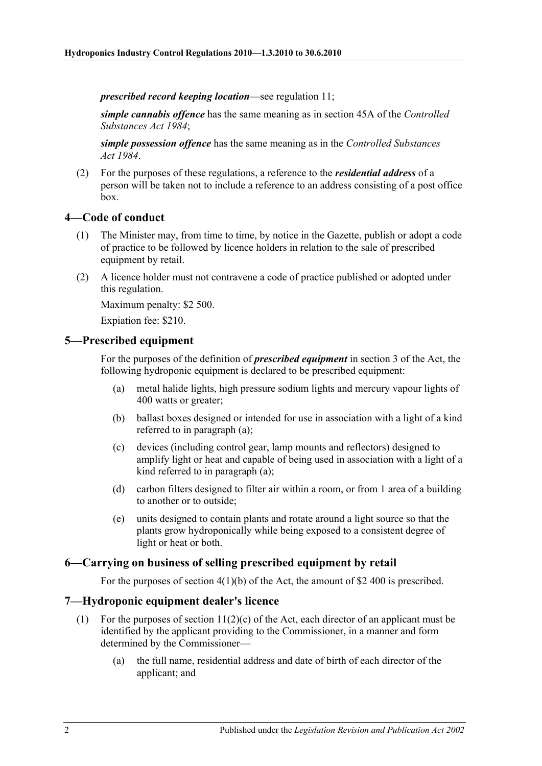*prescribed record keeping location*—see [regulation](#page-4-0) 11;

*simple cannabis offence* has the same meaning as in section 45A of the *[Controlled](http://www.legislation.sa.gov.au/index.aspx?action=legref&type=act&legtitle=Controlled%20Substances%20Act%201984)  [Substances Act](http://www.legislation.sa.gov.au/index.aspx?action=legref&type=act&legtitle=Controlled%20Substances%20Act%201984) 1984*;

*simple possession offence* has the same meaning as in the *[Controlled Substances](http://www.legislation.sa.gov.au/index.aspx?action=legref&type=act&legtitle=Controlled%20Substances%20Act%201984)  Act [1984](http://www.legislation.sa.gov.au/index.aspx?action=legref&type=act&legtitle=Controlled%20Substances%20Act%201984)*.

(2) For the purposes of these regulations, a reference to the *residential address* of a person will be taken not to include a reference to an address consisting of a post office box.

#### <span id="page-1-0"></span>**4—Code of conduct**

- (1) The Minister may, from time to time, by notice in the Gazette, publish or adopt a code of practice to be followed by licence holders in relation to the sale of prescribed equipment by retail.
- (2) A licence holder must not contravene a code of practice published or adopted under this regulation.

Maximum penalty: \$2 500.

Expiation fee: \$210.

#### <span id="page-1-4"></span><span id="page-1-1"></span>**5—Prescribed equipment**

For the purposes of the definition of *prescribed equipment* in section 3 of the Act, the following hydroponic equipment is declared to be prescribed equipment:

- (a) metal halide lights, high pressure sodium lights and mercury vapour lights of 400 watts or greater;
- (b) ballast boxes designed or intended for use in association with a light of a kind referred to in [paragraph](#page-1-4) (a);
- (c) devices (including control gear, lamp mounts and reflectors) designed to amplify light or heat and capable of being used in association with a light of a kind referred to in [paragraph](#page-1-4) (a);
- (d) carbon filters designed to filter air within a room, or from 1 area of a building to another or to outside;
- (e) units designed to contain plants and rotate around a light source so that the plants grow hydroponically while being exposed to a consistent degree of light or heat or both.

#### <span id="page-1-2"></span>**6—Carrying on business of selling prescribed equipment by retail**

For the purposes of section 4(1)(b) of the Act, the amount of \$2 400 is prescribed.

#### <span id="page-1-3"></span>**7—Hydroponic equipment dealer's licence**

- (1) For the purposes of section  $11(2)(c)$  of the Act, each director of an applicant must be identified by the applicant providing to the Commissioner, in a manner and form determined by the Commissioner—
	- (a) the full name, residential address and date of birth of each director of the applicant; and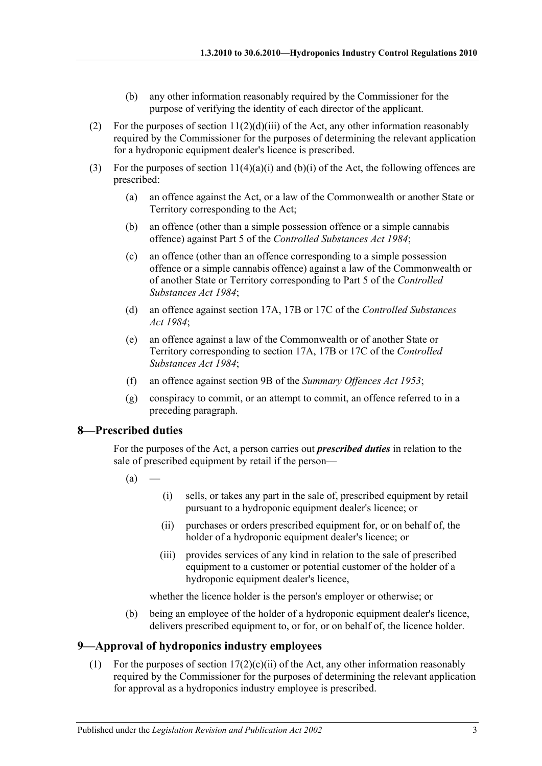- (b) any other information reasonably required by the Commissioner for the purpose of verifying the identity of each director of the applicant.
- (2) For the purposes of section  $11(2)(d)(iii)$  of the Act, any other information reasonably required by the Commissioner for the purposes of determining the relevant application for a hydroponic equipment dealer's licence is prescribed.
- (3) For the purposes of section  $11(4)(a)(i)$  and  $(b)(i)$  of the Act, the following offences are prescribed:
	- (a) an offence against the Act, or a law of the Commonwealth or another State or Territory corresponding to the Act;
	- (b) an offence (other than a simple possession offence or a simple cannabis offence) against Part 5 of the *[Controlled Substances Act](http://www.legislation.sa.gov.au/index.aspx?action=legref&type=act&legtitle=Controlled%20Substances%20Act%201984) 1984*;
	- (c) an offence (other than an offence corresponding to a simple possession offence or a simple cannabis offence) against a law of the Commonwealth or of another State or Territory corresponding to Part 5 of the *[Controlled](http://www.legislation.sa.gov.au/index.aspx?action=legref&type=act&legtitle=Controlled%20Substances%20Act%201984)  [Substances Act](http://www.legislation.sa.gov.au/index.aspx?action=legref&type=act&legtitle=Controlled%20Substances%20Act%201984) 1984*;
	- (d) an offence against section 17A, 17B or 17C of the *[Controlled Substances](http://www.legislation.sa.gov.au/index.aspx?action=legref&type=act&legtitle=Controlled%20Substances%20Act%201984)  Act [1984](http://www.legislation.sa.gov.au/index.aspx?action=legref&type=act&legtitle=Controlled%20Substances%20Act%201984)*;
	- (e) an offence against a law of the Commonwealth or of another State or Territory corresponding to section 17A, 17B or 17C of the *[Controlled](http://www.legislation.sa.gov.au/index.aspx?action=legref&type=act&legtitle=Controlled%20Substances%20Act%201984)  [Substances Act](http://www.legislation.sa.gov.au/index.aspx?action=legref&type=act&legtitle=Controlled%20Substances%20Act%201984) 1984*;
	- (f) an offence against section 9B of the *[Summary Offences Act](http://www.legislation.sa.gov.au/index.aspx?action=legref&type=act&legtitle=Summary%20Offences%20Act%201953) 1953*;
	- (g) conspiracy to commit, or an attempt to commit, an offence referred to in a preceding paragraph.

#### <span id="page-2-0"></span>**8—Prescribed duties**

For the purposes of the Act, a person carries out *prescribed duties* in relation to the sale of prescribed equipment by retail if the person—

- $(a)$
- (i) sells, or takes any part in the sale of, prescribed equipment by retail pursuant to a hydroponic equipment dealer's licence; or
- (ii) purchases or orders prescribed equipment for, or on behalf of, the holder of a hydroponic equipment dealer's licence; or
- (iii) provides services of any kind in relation to the sale of prescribed equipment to a customer or potential customer of the holder of a hydroponic equipment dealer's licence,

whether the licence holder is the person's employer or otherwise; or

(b) being an employee of the holder of a hydroponic equipment dealer's licence, delivers prescribed equipment to, or for, or on behalf of, the licence holder.

#### <span id="page-2-1"></span>**9—Approval of hydroponics industry employees**

(1) For the purposes of section  $17(2)(c)(ii)$  of the Act, any other information reasonably required by the Commissioner for the purposes of determining the relevant application for approval as a hydroponics industry employee is prescribed.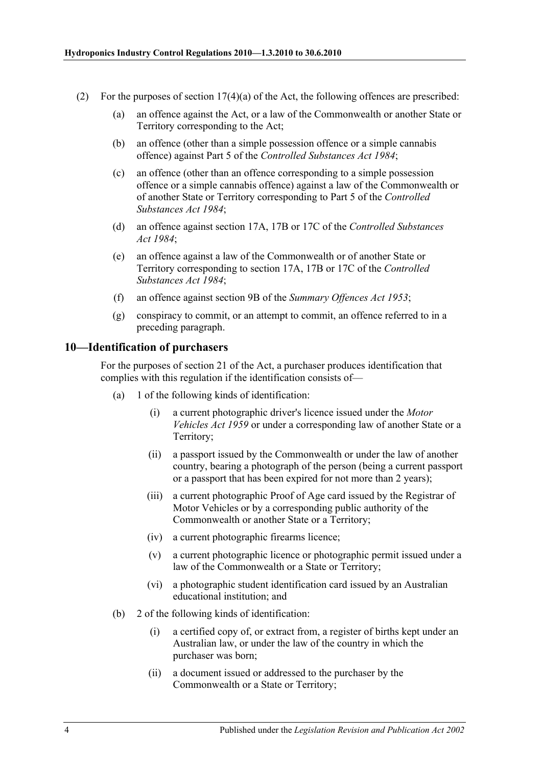- (2) For the purposes of section  $17(4)(a)$  of the Act, the following offences are prescribed:
	- (a) an offence against the Act, or a law of the Commonwealth or another State or Territory corresponding to the Act;
	- (b) an offence (other than a simple possession offence or a simple cannabis offence) against Part 5 of the *[Controlled Substances Act](http://www.legislation.sa.gov.au/index.aspx?action=legref&type=act&legtitle=Controlled%20Substances%20Act%201984) 1984*;
	- (c) an offence (other than an offence corresponding to a simple possession offence or a simple cannabis offence) against a law of the Commonwealth or of another State or Territory corresponding to Part 5 of the *[Controlled](http://www.legislation.sa.gov.au/index.aspx?action=legref&type=act&legtitle=Controlled%20Substances%20Act%201984)  [Substances Act](http://www.legislation.sa.gov.au/index.aspx?action=legref&type=act&legtitle=Controlled%20Substances%20Act%201984) 1984*;
	- (d) an offence against section 17A, 17B or 17C of the *[Controlled Substances](http://www.legislation.sa.gov.au/index.aspx?action=legref&type=act&legtitle=Controlled%20Substances%20Act%201984)  Act [1984](http://www.legislation.sa.gov.au/index.aspx?action=legref&type=act&legtitle=Controlled%20Substances%20Act%201984)*;
	- (e) an offence against a law of the Commonwealth or of another State or Territory corresponding to section 17A, 17B or 17C of the *[Controlled](http://www.legislation.sa.gov.au/index.aspx?action=legref&type=act&legtitle=Controlled%20Substances%20Act%201984)  [Substances Act](http://www.legislation.sa.gov.au/index.aspx?action=legref&type=act&legtitle=Controlled%20Substances%20Act%201984) 1984*;
	- (f) an offence against section 9B of the *[Summary Offences Act](http://www.legislation.sa.gov.au/index.aspx?action=legref&type=act&legtitle=Summary%20Offences%20Act%201953) 1953*;
	- (g) conspiracy to commit, or an attempt to commit, an offence referred to in a preceding paragraph.

#### <span id="page-3-0"></span>**10—Identification of purchasers**

For the purposes of section 21 of the Act, a purchaser produces identification that complies with this regulation if the identification consists of—

- (a) 1 of the following kinds of identification:
	- (i) a current photographic driver's licence issued under the *[Motor](http://www.legislation.sa.gov.au/index.aspx?action=legref&type=act&legtitle=Motor%20Vehicles%20Act%201959)  [Vehicles Act](http://www.legislation.sa.gov.au/index.aspx?action=legref&type=act&legtitle=Motor%20Vehicles%20Act%201959) 1959* or under a corresponding law of another State or a Territory;
	- (ii) a passport issued by the Commonwealth or under the law of another country, bearing a photograph of the person (being a current passport or a passport that has been expired for not more than 2 years);
	- (iii) a current photographic Proof of Age card issued by the Registrar of Motor Vehicles or by a corresponding public authority of the Commonwealth or another State or a Territory;
	- (iv) a current photographic firearms licence;
	- (v) a current photographic licence or photographic permit issued under a law of the Commonwealth or a State or Territory;
	- (vi) a photographic student identification card issued by an Australian educational institution; and
- (b) 2 of the following kinds of identification:
	- (i) a certified copy of, or extract from, a register of births kept under an Australian law, or under the law of the country in which the purchaser was born;
	- (ii) a document issued or addressed to the purchaser by the Commonwealth or a State or Territory;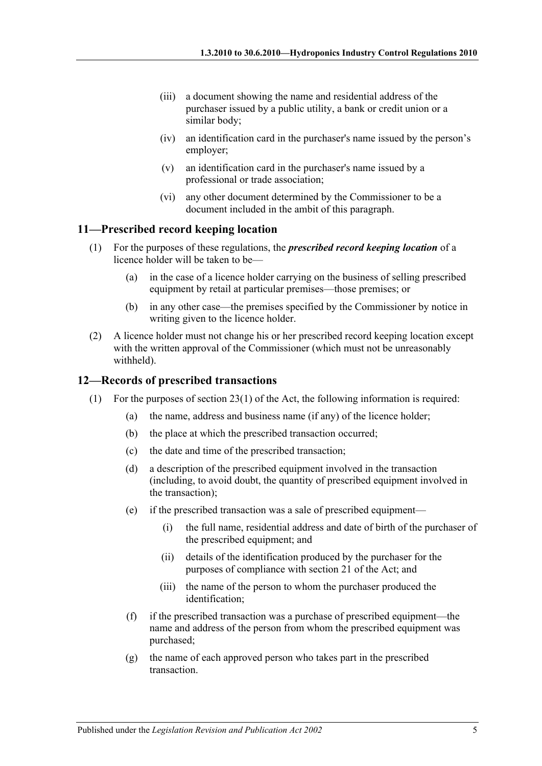- (iii) a document showing the name and residential address of the purchaser issued by a public utility, a bank or credit union or a similar body;
- (iv) an identification card in the purchaser's name issued by the person's employer;
- (v) an identification card in the purchaser's name issued by a professional or trade association;
- (vi) any other document determined by the Commissioner to be a document included in the ambit of this paragraph.

#### <span id="page-4-0"></span>**11—Prescribed record keeping location**

- (1) For the purposes of these regulations, the *prescribed record keeping location* of a licence holder will be taken to be—
	- (a) in the case of a licence holder carrying on the business of selling prescribed equipment by retail at particular premises—those premises; or
	- (b) in any other case—the premises specified by the Commissioner by notice in writing given to the licence holder.
- (2) A licence holder must not change his or her prescribed record keeping location except with the written approval of the Commissioner (which must not be unreasonably withheld).

#### <span id="page-4-1"></span>**12—Records of prescribed transactions**

- <span id="page-4-5"></span><span id="page-4-4"></span><span id="page-4-3"></span><span id="page-4-2"></span>(1) For the purposes of section 23(1) of the Act, the following information is required:
	- (a) the name, address and business name (if any) of the licence holder;
	- (b) the place at which the prescribed transaction occurred;
	- (c) the date and time of the prescribed transaction;
	- (d) a description of the prescribed equipment involved in the transaction (including, to avoid doubt, the quantity of prescribed equipment involved in the transaction);
	- (e) if the prescribed transaction was a sale of prescribed equipment—
		- (i) the full name, residential address and date of birth of the purchaser of the prescribed equipment; and
		- (ii) details of the identification produced by the purchaser for the purposes of compliance with section 21 of the Act; and
		- (iii) the name of the person to whom the purchaser produced the identification;
	- (f) if the prescribed transaction was a purchase of prescribed equipment—the name and address of the person from whom the prescribed equipment was purchased;
	- (g) the name of each approved person who takes part in the prescribed transaction.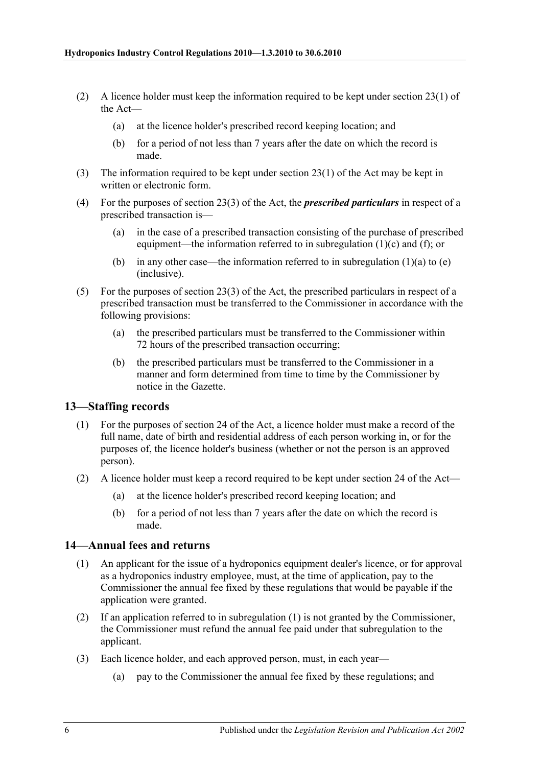- (2) A licence holder must keep the information required to be kept under section 23(1) of the Act—
	- (a) at the licence holder's prescribed record keeping location; and
	- (b) for a period of not less than 7 years after the date on which the record is made.
- (3) The information required to be kept under section 23(1) of the Act may be kept in written or electronic form.
- (4) For the purposes of section 23(3) of the Act, the *prescribed particulars* in respect of a prescribed transaction is—
	- (a) in the case of a prescribed transaction consisting of the purchase of prescribed equipment—the information referred to in [subregulation](#page-4-2)  $(1)(c)$  and  $(f)$ ; or
	- (b) in any other case—the information referred to in [subregulation](#page-4-4)  $(1)(a)$  to  $(e)$ (inclusive).
- (5) For the purposes of section 23(3) of the Act, the prescribed particulars in respect of a prescribed transaction must be transferred to the Commissioner in accordance with the following provisions:
	- (a) the prescribed particulars must be transferred to the Commissioner within 72 hours of the prescribed transaction occurring;
	- (b) the prescribed particulars must be transferred to the Commissioner in a manner and form determined from time to time by the Commissioner by notice in the Gazette.

#### <span id="page-5-0"></span>**13—Staffing records**

- (1) For the purposes of section 24 of the Act, a licence holder must make a record of the full name, date of birth and residential address of each person working in, or for the purposes of, the licence holder's business (whether or not the person is an approved person).
- (2) A licence holder must keep a record required to be kept under section 24 of the Act—
	- (a) at the licence holder's prescribed record keeping location; and
	- (b) for a period of not less than 7 years after the date on which the record is made.

#### <span id="page-5-2"></span><span id="page-5-1"></span>**14—Annual fees and returns**

- (1) An applicant for the issue of a hydroponics equipment dealer's licence, or for approval as a hydroponics industry employee, must, at the time of application, pay to the Commissioner the annual fee fixed by these regulations that would be payable if the application were granted.
- (2) If an application referred to in [subregulation](#page-5-2) (1) is not granted by the Commissioner, the Commissioner must refund the annual fee paid under that subregulation to the applicant.
- (3) Each licence holder, and each approved person, must, in each year—
	- (a) pay to the Commissioner the annual fee fixed by these regulations; and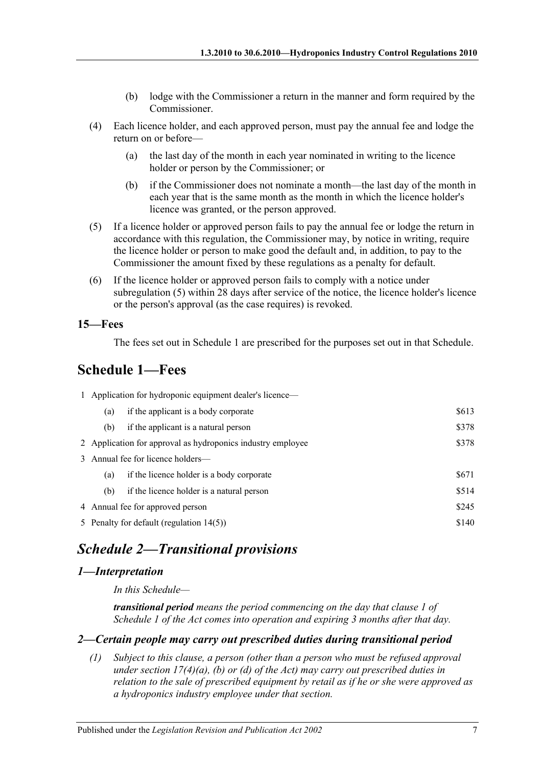- (b) lodge with the Commissioner a return in the manner and form required by the Commissioner.
- (4) Each licence holder, and each approved person, must pay the annual fee and lodge the return on or before—
	- (a) the last day of the month in each year nominated in writing to the licence holder or person by the Commissioner; or
	- (b) if the Commissioner does not nominate a month—the last day of the month in each year that is the same month as the month in which the licence holder's licence was granted, or the person approved.
- <span id="page-6-5"></span>(5) If a licence holder or approved person fails to pay the annual fee or lodge the return in accordance with this regulation, the Commissioner may, by notice in writing, require the licence holder or person to make good the default and, in addition, to pay to the Commissioner the amount fixed by these regulations as a penalty for default.
- (6) If the licence holder or approved person fails to comply with a notice under [subregulation](#page-6-5) (5) within 28 days after service of the notice, the licence holder's licence or the person's approval (as the case requires) is revoked.

#### <span id="page-6-0"></span>**15—Fees**

The fees set out in [Schedule 1](#page-6-1) are prescribed for the purposes set out in that Schedule.

# <span id="page-6-1"></span>**Schedule 1—Fees**

| 1 Application for hydroponic equipment dealer's licence— |                                                      |                                                             |       |  |  |
|----------------------------------------------------------|------------------------------------------------------|-------------------------------------------------------------|-------|--|--|
|                                                          | (a)                                                  | if the applicant is a body corporate                        | \$613 |  |  |
|                                                          | (b)                                                  | if the applicant is a natural person                        | \$378 |  |  |
|                                                          |                                                      | 2 Application for approval as hydroponics industry employee | \$378 |  |  |
|                                                          | 3 Annual fee for licence holders—                    |                                                             |       |  |  |
|                                                          | (a)                                                  | if the licence holder is a body corporate                   | \$671 |  |  |
|                                                          | (b)                                                  | if the licence holder is a natural person                   | \$514 |  |  |
|                                                          | 4 Annual fee for approved person                     |                                                             | \$245 |  |  |
|                                                          | \$140<br>5 Penalty for default (regulation $14(5)$ ) |                                                             |       |  |  |
|                                                          |                                                      |                                                             |       |  |  |

# <span id="page-6-2"></span>*Schedule 2—Transitional provisions*

#### <span id="page-6-3"></span>*1—Interpretation*

*In this Schedule—*

*transitional period means the period commencing on the day that clause 1 of Schedule 1 of the Act comes into operation and expiring 3 months after that day.*

#### <span id="page-6-4"></span>*2—Certain people may carry out prescribed duties during transitional period*

*(1) Subject to this clause, a person (other than a person who must be refused approval under section 17(4)(a), (b) or (d) of the Act) may carry out prescribed duties in relation to the sale of prescribed equipment by retail as if he or she were approved as a hydroponics industry employee under that section.*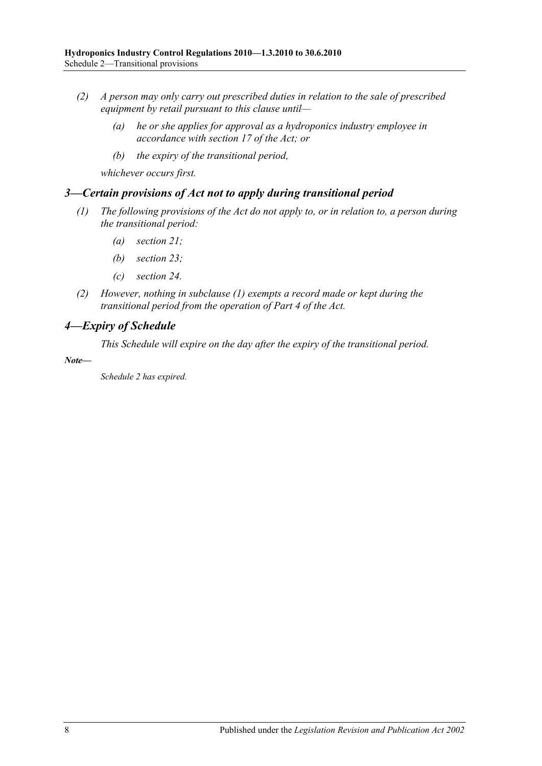- *(2) A person may only carry out prescribed duties in relation to the sale of prescribed equipment by retail pursuant to this clause until—*
	- *(a) he or she applies for approval as a hydroponics industry employee in accordance with section 17 of the Act; or*
	- *(b) the expiry of the transitional period,*

*whichever occurs first.*

#### <span id="page-7-2"></span><span id="page-7-0"></span>*3—Certain provisions of Act not to apply during transitional period*

- *(1) The following provisions of the Act do not apply to, or in relation to, a person during the transitional period:*
	- *(a) section 21;*
	- *(b) section 23;*
	- *(c) section 24.*
- *(2) However, nothing in [subclause](#page-7-2) (1) exempts a record made or kept during the transitional period from the operation of Part 4 of the Act.*

#### <span id="page-7-1"></span>*4—Expiry of Schedule*

*This Schedule will expire on the day after the expiry of the transitional period.*

*Note—*

*Schedule 2 has expired.*